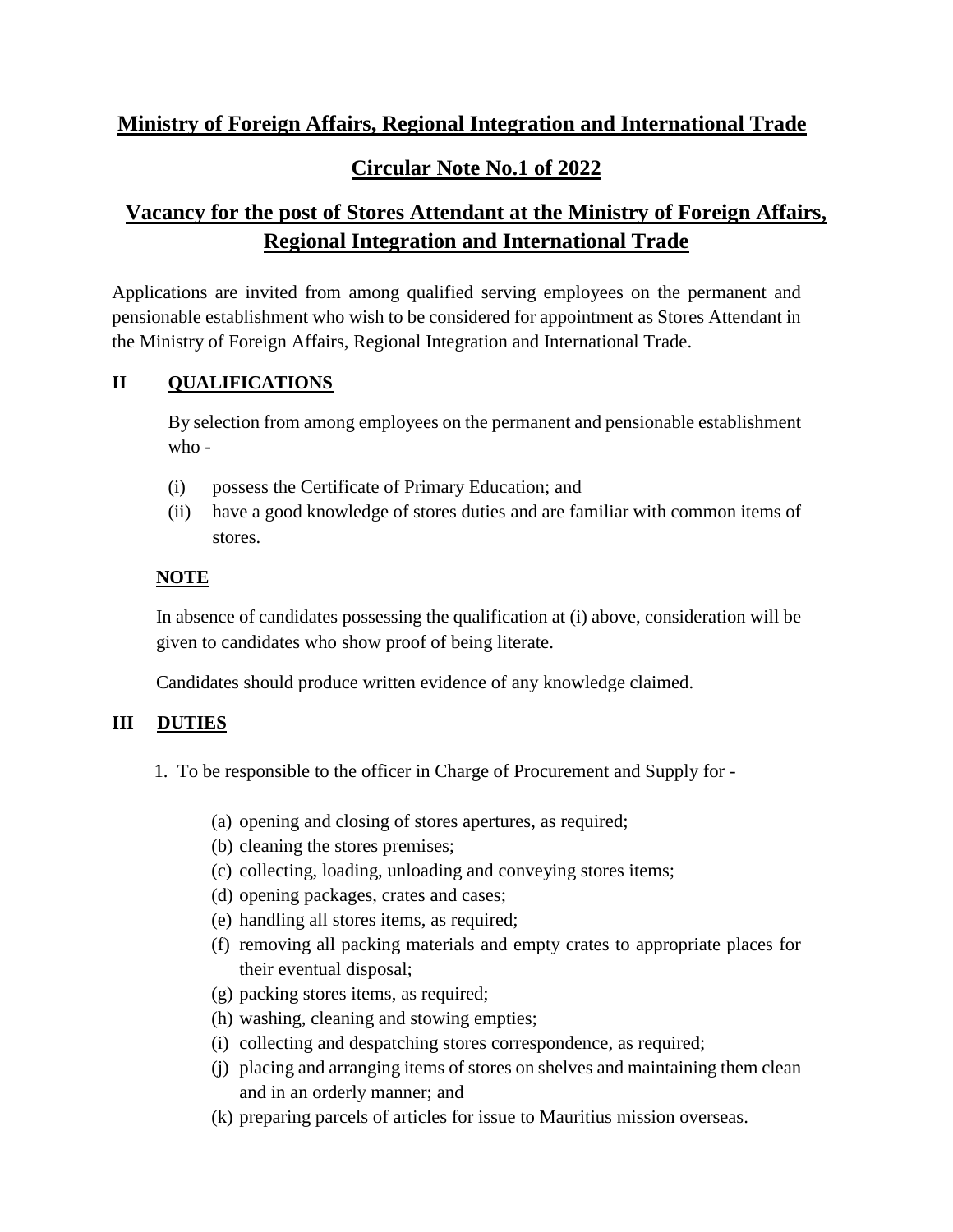# **Ministry of Foreign Affairs, Regional Integration and International Trade Circular Note No.1 of 2022**

## **Vacancy for the post of Stores Attendant at the Ministry of Foreign Affairs, Regional Integration and International Trade**

Applications are invited from among qualified serving employees on the permanent and pensionable establishment who wish to be considered for appointment as Stores Attendant in the Ministry of Foreign Affairs, Regional Integration and International Trade.

## **II QUALIFICATIONS**

By selection from among employees on the permanent and pensionable establishment who -

- (i) possess the Certificate of Primary Education; and
- (ii) have a good knowledge of stores duties and are familiar with common items of stores.

## **NOTE**

In absence of candidates possessing the qualification at (i) above, consideration will be given to candidates who show proof of being literate.

Candidates should produce written evidence of any knowledge claimed.

## **III DUTIES**

- 1. To be responsible to the officer in Charge of Procurement and Supply for
	- (a) opening and closing of stores apertures, as required;
	- (b) cleaning the stores premises;
	- (c) collecting, loading, unloading and conveying stores items;
	- (d) opening packages, crates and cases;
	- (e) handling all stores items, as required;
	- (f) removing all packing materials and empty crates to appropriate places for their eventual disposal;
	- (g) packing stores items, as required;
	- (h) washing, cleaning and stowing empties;
	- (i) collecting and despatching stores correspondence, as required;
	- (j) placing and arranging items of stores on shelves and maintaining them clean and in an orderly manner; and
	- (k) preparing parcels of articles for issue to Mauritius mission overseas.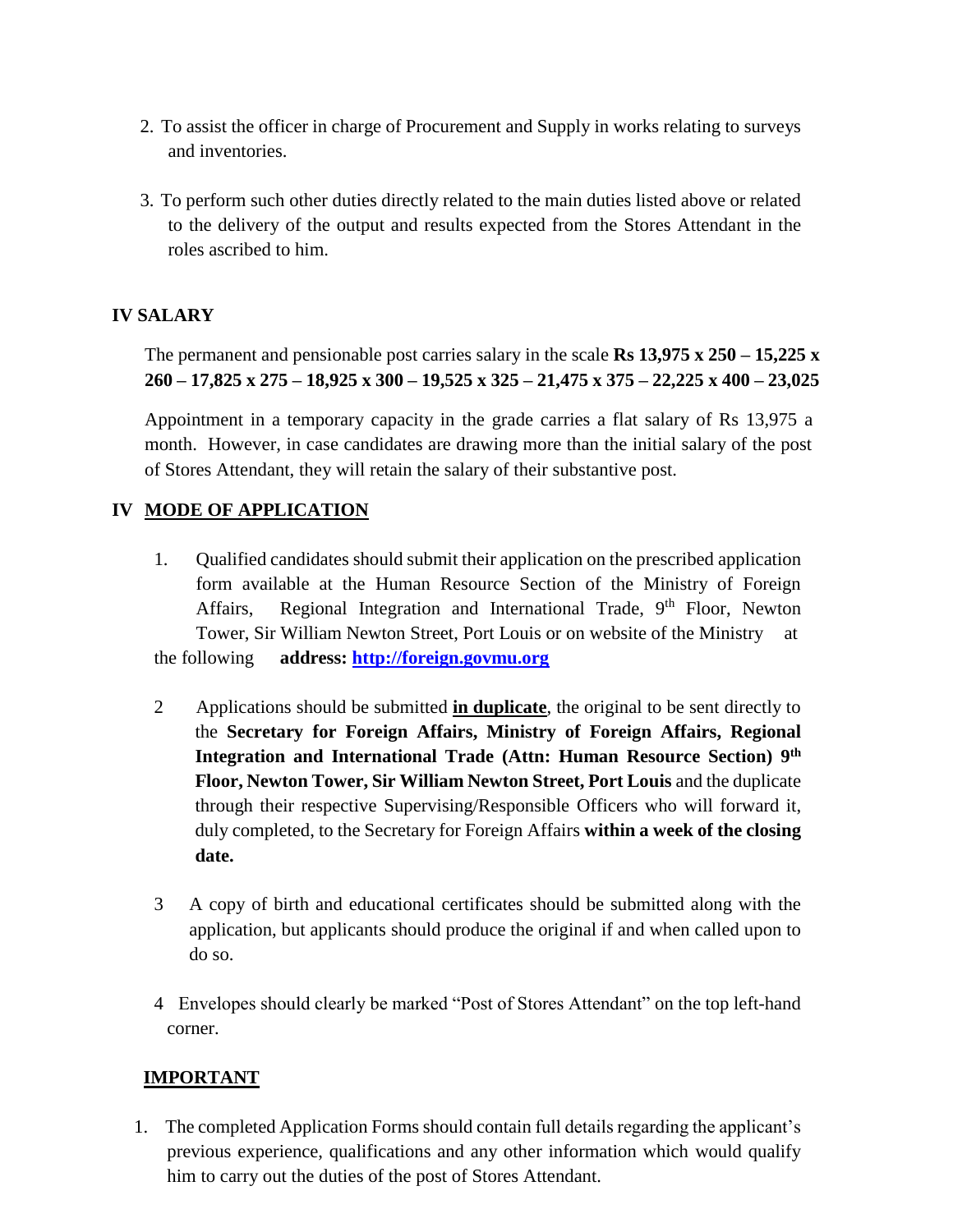- 2. To assist the officer in charge of Procurement and Supply in works relating to surveys and inventories.
- 3. To perform such other duties directly related to the main duties listed above or related to the delivery of the output and results expected from the Stores Attendant in the roles ascribed to him.

### **IV SALARY**

The permanent and pensionable post carries salary in the scale **Rs 13,975 x 250 – 15,225 x 260 – 17,825 x 275 – 18,925 x 300 – 19,525 x 325 – 21,475 x 375 – 22,225 x 400 – 23,025** 

Appointment in a temporary capacity in the grade carries a flat salary of Rs 13,975 a month. However, in case candidates are drawing more than the initial salary of the post of Stores Attendant, they will retain the salary of their substantive post.

#### **IV MODE OF APPLICATION**

- 1. Qualified candidates should submit their application on the prescribed application form available at the Human Resource Section of the Ministry of Foreign Affairs, Regional Integration and International Trade, 9<sup>th</sup> Floor, Newton Tower, Sir William Newton Street, Port Louis or on website of the Ministry at the following **address: [http://foreign.govmu.org](http://foreign.govmu.org/)**
- 2 Applications should be submitted **in duplicate**, the original to be sent directly to the **Secretary for Foreign Affairs, Ministry of Foreign Affairs, Regional Integration and International Trade (Attn: Human Resource Section) 9 th Floor, Newton Tower, Sir William Newton Street, Port Louis** and the duplicate through their respective Supervising/Responsible Officers who will forward it, duly completed, to the Secretary for Foreign Affairs **within a week of the closing date.**
- 3 A copy of birth and educational certificates should be submitted along with the application, but applicants should produce the original if and when called upon to do so.
- 4 Envelopes should clearly be marked "Post of Stores Attendant" on the top left-hand corner.

### **IMPORTANT**

1. The completed Application Forms should contain full details regarding the applicant's previous experience, qualifications and any other information which would qualify him to carry out the duties of the post of Stores Attendant.